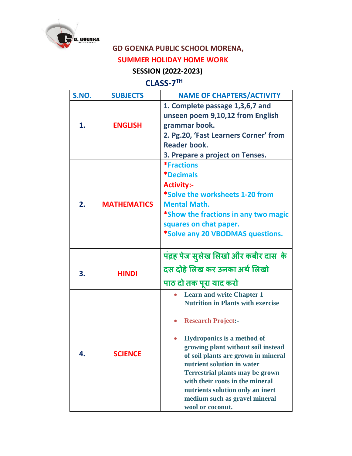

## **GD GOENKA PUBLIC SCHOOL MORENA,**

## **SUMMER HOLIDAY HOME WORK**

## **SESSION (2022-2023)**

## **CLASS-7 TH**

| S.NO. | <b>SUBJECTS</b>    | <b>NAME OF CHAPTERS/ACTIVITY</b>                                                                                                                                                                                                                                                                                                                                                                                                |
|-------|--------------------|---------------------------------------------------------------------------------------------------------------------------------------------------------------------------------------------------------------------------------------------------------------------------------------------------------------------------------------------------------------------------------------------------------------------------------|
| 1.    | <b>ENGLISH</b>     | 1. Complete passage 1,3,6,7 and<br>unseen poem 9,10,12 from English<br>grammar book.<br>2. Pg.20, 'Fast Learners Corner' from<br><b>Reader book.</b><br>3. Prepare a project on Tenses.                                                                                                                                                                                                                                         |
| 2.    | <b>MATHEMATICS</b> | <i><b>*Fractions</b></i><br><i><b>*Decimals</b></i><br><b>Activity:-</b><br>*Solve the worksheets 1-20 from<br><b>Mental Math.</b><br>*Show the fractions in any two magic<br>squares on chat paper.<br>*Solve any 20 VBODMAS questions.                                                                                                                                                                                        |
| 3.    | <b>HINDI</b>       | पंद्रह पेज सुलेख लिखो और कबीर दास के<br>दस दोहे लिख कर उनका अर्थ लिखो<br>पाठ दो तक पूरा याद करो                                                                                                                                                                                                                                                                                                                                 |
| 4.    | <b>SCIENCE</b>     | <b>Learn and write Chapter 1</b><br><b>Nutrition in Plants with exercise</b><br><b>Research Project:-</b><br><b>Hydroponics is a method of</b><br>growing plant without soil instead<br>of soil plants are grown in mineral<br>nutrient solution in water<br><b>Terrestrial plants may be grown</b><br>with their roots in the mineral<br>nutrients solution only an inert<br>medium such as gravel mineral<br>wool or coconut. |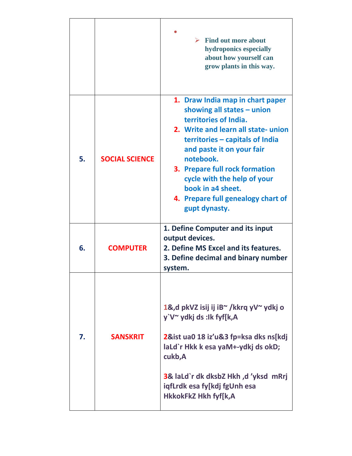|    |                       | $\triangleright$ Find out more about<br>hydroponics especially<br>about how yourself can<br>grow plants in this way.                                                                                                                                                                                                                                       |
|----|-----------------------|------------------------------------------------------------------------------------------------------------------------------------------------------------------------------------------------------------------------------------------------------------------------------------------------------------------------------------------------------------|
| 5. | <b>SOCIAL SCIENCE</b> | 1. Draw India map in chart paper<br>showing all states $-$ union<br>territories of India.<br>2. Write and learn all state- union<br>territories – capitals of India<br>and paste it on your fair<br>notebook.<br>3. Prepare full rock formation<br>cycle with the help of your<br>book in a4 sheet.<br>4. Prepare full genealogy chart of<br>gupt dynasty. |
| 6. | <b>COMPUTER</b>       | 1. Define Computer and its input<br>output devices.<br>2. Define MS Excel and its features.<br>3. Define decimal and binary number<br>system.                                                                                                                                                                                                              |
| 7. | <b>SANSKRIT</b>       | 1&,d pkVZ isij ij iB~/kkrq yV~ ydkj o<br>y`V~ ydkj ds :Ik fyf[k,A<br>2&ist ua0 18 iz'u&3 fp=ksa dks ns[kdj<br>laLd`r Hkk k esa yaM+-ydkj ds okD;<br>cukb,A<br>3& laLd`r dk dksbZ Hkh ,d 'yksd mRrj<br>iqfLrdk esa fy[kdj fgUnh esa<br><b>HkkokFkZ Hkh fyf[k,A</b>                                                                                          |